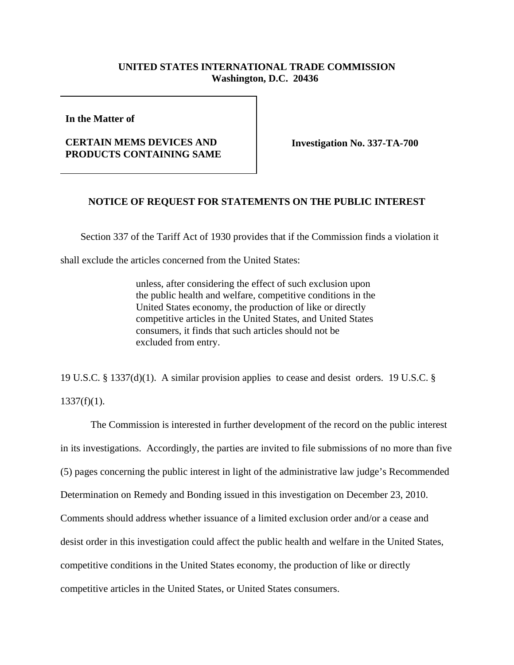## **UNITED STATES INTERNATIONAL TRADE COMMISSION Washington, D.C. 20436**

**In the Matter of** 

## **CERTAIN MEMS DEVICES AND PRODUCTS CONTAINING SAME**

**Investigation No. 337-TA-700**

## **NOTICE OF REQUEST FOR STATEMENTS ON THE PUBLIC INTEREST**

Section 337 of the Tariff Act of 1930 provides that if the Commission finds a violation it

shall exclude the articles concerned from the United States:

unless, after considering the effect of such exclusion upon the public health and welfare, competitive conditions in the United States economy, the production of like or directly competitive articles in the United States, and United States consumers, it finds that such articles should not be excluded from entry.

19 U.S.C. § 1337(d)(1). A similar provision applies to cease and desist orders. 19 U.S.C. §  $1337(f)(1)$ .

The Commission is interested in further development of the record on the public interest in its investigations. Accordingly, the parties are invited to file submissions of no more than five (5) pages concerning the public interest in light of the administrative law judge's Recommended Determination on Remedy and Bonding issued in this investigation on December 23, 2010. Comments should address whether issuance of a limited exclusion order and/or a cease and desist order in this investigation could affect the public health and welfare in the United States, competitive conditions in the United States economy, the production of like or directly competitive articles in the United States, or United States consumers.